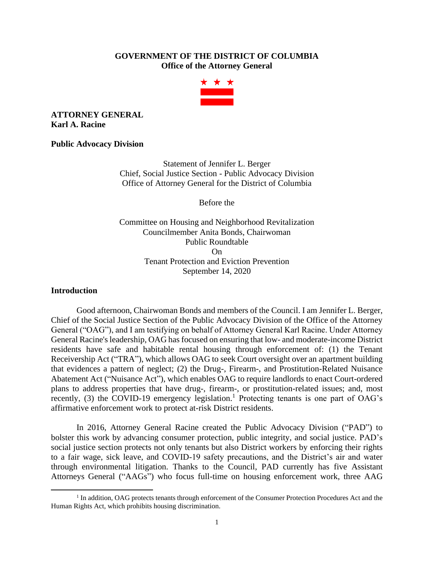## **GOVERNMENT OF THE DISTRICT OF COLUMBIA Office of the Attorney General**



## **ATTORNEY GENERAL Karl A. Racine**

#### **Public Advocacy Division**

Statement of Jennifer L. Berger Chief, Social Justice Section - Public Advocacy Division Office of Attorney General for the District of Columbia

Before the

Committee on Housing and Neighborhood Revitalization Councilmember Anita Bonds, Chairwoman Public Roundtable On Tenant Protection and Eviction Prevention September 14, 2020

#### **Introduction**

Good afternoon, Chairwoman Bonds and members of the Council. I am Jennifer L. Berger, Chief of the Social Justice Section of the Public Advocacy Division of the Office of the Attorney General ("OAG"), and I am testifying on behalf of Attorney General Karl Racine. Under Attorney General Racine's leadership, OAG has focused on ensuring that low- and moderate-income District residents have safe and habitable rental housing through enforcement of: (1) the Tenant Receivership Act ("TRA"), which allows OAG to seek Court oversight over an apartment building that evidences a pattern of neglect; (2) the Drug-, Firearm-, and Prostitution-Related Nuisance Abatement Act ("Nuisance Act"), which enables OAG to require landlords to enact Court-ordered plans to address properties that have drug-, firearm-, or prostitution-related issues; and, most recently, (3) the COVID-19 emergency legislation.<sup>1</sup> Protecting tenants is one part of OAG's affirmative enforcement work to protect at-risk District residents.

In 2016, Attorney General Racine created the Public Advocacy Division ("PAD") to bolster this work by advancing consumer protection, public integrity, and social justice. PAD's social justice section protects not only tenants but also District workers by enforcing their rights to a fair wage, sick leave, and COVID-19 safety precautions, and the District's air and water through environmental litigation. Thanks to the Council, PAD currently has five Assistant Attorneys General ("AAGs") who focus full-time on housing enforcement work, three AAG

<sup>&</sup>lt;sup>1</sup> In addition, OAG protects tenants through enforcement of the Consumer Protection Procedures Act and the Human Rights Act, which prohibits housing discrimination.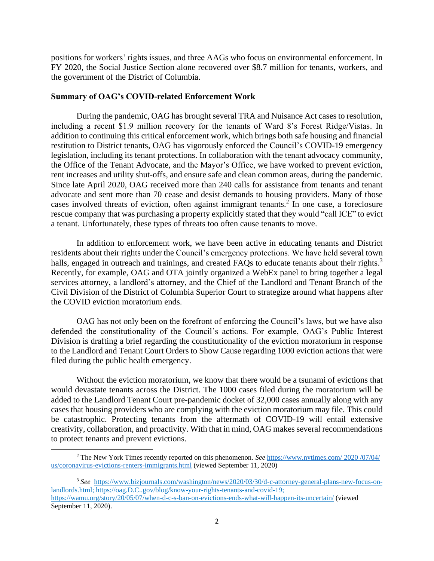positions for workers' rights issues, and three AAGs who focus on environmental enforcement. In FY 2020, the Social Justice Section alone recovered over \$8.7 million for tenants, workers, and the government of the District of Columbia.

#### **Summary of OAG's COVID-related Enforcement Work**

During the pandemic, OAG has brought several TRA and Nuisance Act cases to resolution, including a recent \$1.9 million recovery for the tenants of Ward 8's Forest Ridge/Vistas. In addition to continuing this critical enforcement work, which brings both safe housing and financial restitution to District tenants, OAG has vigorously enforced the Council's COVID-19 emergency legislation, including its tenant protections. In collaboration with the tenant advocacy community, the Office of the Tenant Advocate, and the Mayor's Office, we have worked to prevent eviction, rent increases and utility shut-offs, and ensure safe and clean common areas, during the pandemic. Since late April 2020, OAG received more than 240 calls for assistance from tenants and tenant advocate and sent more than 70 cease and desist demands to housing providers. Many of those cases involved threats of eviction, often against immigrant tenants. 2 In one case, a foreclosure rescue company that was purchasing a property explicitly stated that they would "call ICE" to evict a tenant. Unfortunately, these types of threats too often cause tenants to move.

In addition to enforcement work, we have been active in educating tenants and District residents about their rights under the Council's emergency protections. We have held several town halls, engaged in outreach and trainings, and created FAQs to educate tenants about their rights.<sup>3</sup> Recently, for example, OAG and OTA jointly organized a WebEx panel to bring together a legal services attorney, a landlord's attorney, and the Chief of the Landlord and Tenant Branch of the Civil Division of the District of Columbia Superior Court to strategize around what happens after the COVID eviction moratorium ends.

OAG has not only been on the forefront of enforcing the Council's laws, but we have also defended the constitutionality of the Council's actions. For example, OAG's Public Interest Division is drafting a brief regarding the constitutionality of the eviction moratorium in response to the Landlord and Tenant Court Orders to Show Cause regarding 1000 eviction actions that were filed during the public health emergency.

Without the eviction moratorium, we know that there would be a tsunami of evictions that would devastate tenants across the District. The 1000 cases filed during the moratorium will be added to the Landlord Tenant Court pre-pandemic docket of 32,000 cases annually along with any cases that housing providers who are complying with the eviction moratorium may file. This could be catastrophic. Protecting tenants from the aftermath of COVID-19 will entail extensive creativity, collaboration, and proactivity. With that in mind, OAG makes several recommendations to protect tenants and prevent evictions.

<sup>3</sup> *See* [https://www.bizjournals.com/washington/news/2020/03/30/d-c-attorney-general-plans-new-focus-on](https://www.bizjournals.com/washington/news/2020/03/30/d-c-attorney-general-plans-new-focus-on-landlords.html)[landlords.html;](https://www.bizjournals.com/washington/news/2020/03/30/d-c-attorney-general-plans-new-focus-on-landlords.html) [https://oag.D.C..gov/blog/know-your-rights-tenants-and-covid-19;](https://oag.dc.gov/blog/know-your-rights-tenants-and-covid-19) <https://wamu.org/story/20/05/07/when-d-c-s-ban-on-evictions-ends-what-will-happen-its-uncertain/> (viewed September 11, 2020).

<sup>2</sup> The New York Times recently reported on this phenomenon. *See* [https://www.nytimes.com/](https://www.nytimes.com/%202020%20/07/04/%20us/coronavirus-evictions-renters-immigrants.html) 2020 /07/04/ [us/coronavirus-evictions-renters-immigrants.html](https://www.nytimes.com/%202020%20/07/04/%20us/coronavirus-evictions-renters-immigrants.html) (viewed September 11, 2020)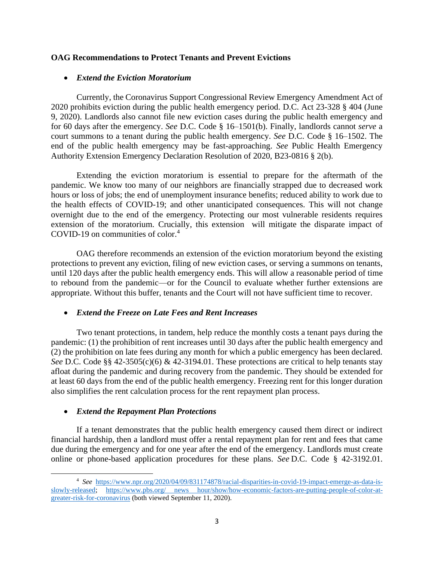## **OAG Recommendations to Protect Tenants and Prevent Evictions**

## • *Extend the Eviction Moratorium*

Currently, the Coronavirus Support Congressional Review Emergency Amendment Act of 2020 prohibits eviction during the public health emergency period. D.C. Act 23-328 § 404 (June 9, 2020). Landlords also cannot file new eviction cases during the public health emergency and for 60 days after the emergency. *See* D.C. Code § 16–1501(b). Finally, landlords cannot *serve* a court summons to a tenant during the public health emergency. *See* D.C. Code § 16–1502. The end of the public health emergency may be fast-approaching. *See* Public Health Emergency Authority Extension Emergency Declaration Resolution of 2020, B23-0816 § 2(b).

Extending the eviction moratorium is essential to prepare for the aftermath of the pandemic. We know too many of our neighbors are financially strapped due to decreased work hours or loss of jobs; the end of unemployment insurance benefits; reduced ability to work due to the health effects of COVID-19; and other unanticipated consequences. This will not change overnight due to the end of the emergency. Protecting our most vulnerable residents requires extension of the moratorium. Crucially, this extension will mitigate the disparate impact of COVID-19 on communities of color.<sup>4</sup>

OAG therefore recommends an extension of the eviction moratorium beyond the existing protections to prevent any eviction, filing of new eviction cases, or serving a summons on tenants, until 120 days after the public health emergency ends. This will allow a reasonable period of time to rebound from the pandemic—or for the Council to evaluate whether further extensions are appropriate. Without this buffer, tenants and the Court will not have sufficient time to recover.

## • *Extend the Freeze on Late Fees and Rent Increases*

Two tenant protections, in tandem, help reduce the monthly costs a tenant pays during the pandemic: (1) the prohibition of rent increases until 30 days after the public health emergency and (2) the prohibition on late fees during any month for which a public emergency has been declared. *See* D.C. Code §§ 42-3505(c)(6) & 42-3194.01. These protections are critical to help tenants stay afloat during the pandemic and during recovery from the pandemic. They should be extended for at least 60 days from the end of the public health emergency. Freezing rent for this longer duration also simplifies the rent calculation process for the rent repayment plan process.

## • *Extend the Repayment Plan Protections*

If a tenant demonstrates that the public health emergency caused them direct or indirect financial hardship, then a landlord must offer a rental repayment plan for rent and fees that came due during the emergency and for one year after the end of the emergency. Landlords must create online or phone-based application procedures for these plans. *See* D.C. Code § 42-3192.01.

<sup>4</sup> *See* [https://www.npr.org/2020/04/09/831174878/racial-disparities-in-covid-19-impact-emerge-as-data-is](https://www.npr.org/2020/04/09/831174878/racial-disparities-in-covid-19-impact-emerge-as-data-is-slowly-released)[slowly-released;](https://www.npr.org/2020/04/09/831174878/racial-disparities-in-covid-19-impact-emerge-as-data-is-slowly-released) [https://www.pbs.org/ news hour/show/how-economic-factors-are-putting-people-of-color-at](https://www.pbs.org/%20news%20hour/show/how-economic-factors-are-putting-people-of-color-at-greater-risk-for-coronavirus)[greater-risk-for-coronavirus](https://www.pbs.org/%20news%20hour/show/how-economic-factors-are-putting-people-of-color-at-greater-risk-for-coronavirus) (both viewed September 11, 2020).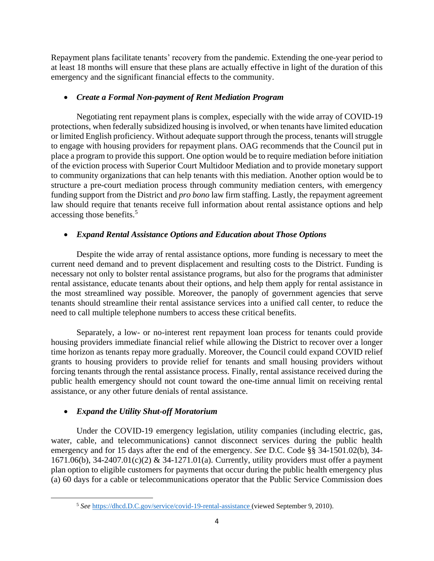Repayment plans facilitate tenants' recovery from the pandemic. Extending the one-year period to at least 18 months will ensure that these plans are actually effective in light of the duration of this emergency and the significant financial effects to the community.

## • *Create a Formal Non-payment of Rent Mediation Program*

Negotiating rent repayment plans is complex, especially with the wide array of COVID-19 protections, when federally subsidized housing is involved, or when tenants have limited education or limited English proficiency. Without adequate support through the process, tenants will struggle to engage with housing providers for repayment plans. OAG recommends that the Council put in place a program to provide this support. One option would be to require mediation before initiation of the eviction process with Superior Court Multidoor Mediation and to provide monetary support to community organizations that can help tenants with this mediation. Another option would be to structure a pre-court mediation process through community mediation centers, with emergency funding support from the District and *pro bono* law firm staffing. Lastly, the repayment agreement law should require that tenants receive full information about rental assistance options and help accessing those benefits. 5

# • *Expand Rental Assistance Options and Education about Those Options*

Despite the wide array of rental assistance options, more funding is necessary to meet the current need demand and to prevent displacement and resulting costs to the District. Funding is necessary not only to bolster rental assistance programs, but also for the programs that administer rental assistance, educate tenants about their options, and help them apply for rental assistance in the most streamlined way possible. Moreover, the panoply of government agencies that serve tenants should streamline their rental assistance services into a unified call center, to reduce the need to call multiple telephone numbers to access these critical benefits.

Separately, a low- or no-interest rent repayment loan process for tenants could provide housing providers immediate financial relief while allowing the District to recover over a longer time horizon as tenants repay more gradually. Moreover, the Council could expand COVID relief grants to housing providers to provide relief for tenants and small housing providers without forcing tenants through the rental assistance process. Finally, rental assistance received during the public health emergency should not count toward the one-time annual limit on receiving rental assistance, or any other future denials of rental assistance.

# • *Expand the Utility Shut-off Moratorium*

Under the COVID-19 emergency legislation, utility companies (including electric, gas, water, cable, and telecommunications) cannot disconnect services during the public health emergency and for 15 days after the end of the emergency. *See* D.C. Code §§ 34-1501.02(b), 34- 1671.06(b), 34-2407.01(c)(2) & 34-1271.01(a). Currently, utility providers must offer a payment plan option to eligible customers for payments that occur during the public health emergency plus (a) 60 days for a cable or telecommunications operator that the Public Service Commission does

<sup>5</sup> *See* [https://dhcd.D.C.gov/service/covid-19-rental-assistance](https://dhcd.d.c.gov/service/covid-19-rental-assistance) (viewed September 9, 2010).